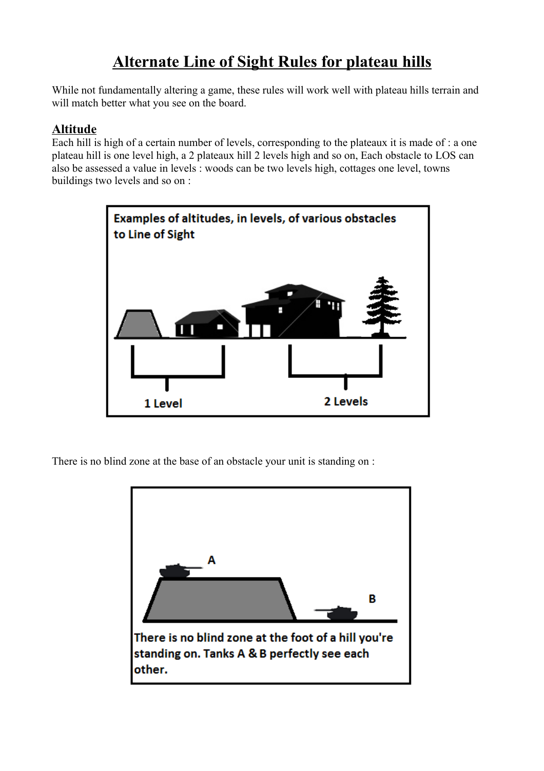## **Alternate Line of Sight Rules for plateau hills**

While not fundamentally altering a game, these rules will work well with plateau hills terrain and will match better what you see on the board.

## **Altitude**

Each hill is high of a certain number of levels, corresponding to the plateaux it is made of : a one plateau hill is one level high, a 2 plateaux hill 2 levels high and so on, Each obstacle to LOS can also be assessed a value in levels : woods can be two levels high, cottages one level, towns buildings two levels and so on :



There is no blind zone at the base of an obstacle your unit is standing on :